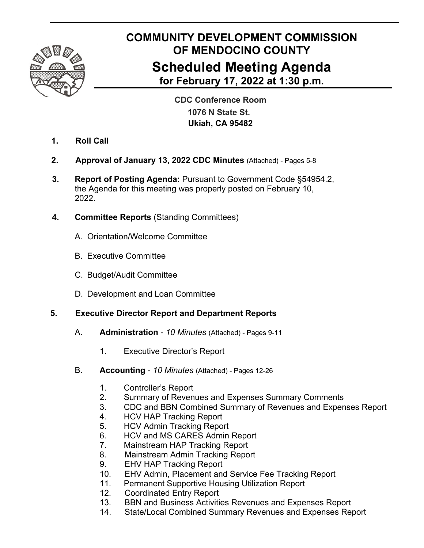

# **COMMUNITY DEVELOPMENT COMMISSION OF MENDOCINO COUNTY Scheduled Meeting Agenda for February 17, 2022 at 1:30 p.m.**

 **CDC Conference Room 1076 N State St. Ukiah, CA 95482**

- **1. Roll Call**
- **2. Approval of January 13, 2022 CDC Minutes** (Attached) Pages 5-8
- **3. Report of Posting Agenda:** Pursuant to Government Code §54954.2, the Agenda for this meeting was properly posted on February 10, 2022.
- **4. Committee Reports** (Standing Committees)
	- A. Orientation/Welcome Committee
	- B. Executive Committee
	- C. Budget/Audit Committee
	- D. Development and Loan Committee

# **5. Executive Director Report and Department Reports**

- A. **Administration**  *10 Minutes* (Attached) Pages 9-11
	- 1. Executive Director's Report
- B. **Accounting**  *10 Minutes* (Attached) Pages 12-26
	- 1. Controller's Report
	- 2. Summary of Revenues and Expenses Summary Comments
	- 3. CDC and BBN Combined Summary of Revenues and Expenses Report
	- 4. HCV HAP Tracking Report
	- 5. HCV Admin Tracking Report
	- 6. HCV and MS CARES Admin Report
	- 7. Mainstream HAP Tracking Report
	- 8. Mainstream Admin Tracking Report
	- 9. EHV HAP Tracking Report
	- 10. EHV Admin, Placement and Service Fee Tracking Report
	- 11. Permanent Supportive Housing Utilization Report
	- 12. Coordinated Entry Report
	- 13. BBN and Business Activities Revenues and Expenses Report
	- 14. State/Local Combined Summary Revenues and Expenses Report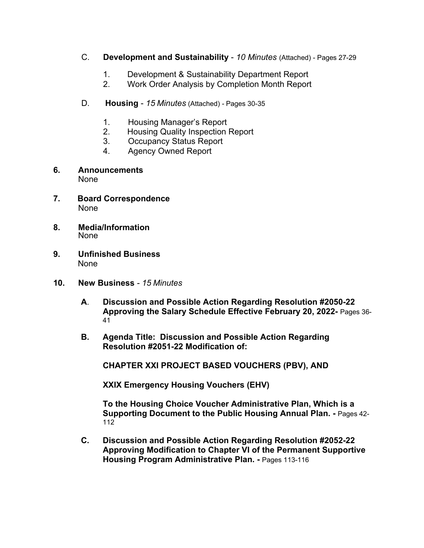- C. **Development and Sustainability**  *10 Minutes* (Attached) Pages 27-29
	- 1. Development & Sustainability Department Report
	- 2. Work Order Analysis by Completion Month Report
- D. **Housing**  *15 Minutes* (Attached) Pages 30-35
	- 1. Housing Manager's Report
	- 2. Housing Quality Inspection Report
	- 3. Occupancy Status Report
	- 4. Agency Owned Report
- **6. Announcements** None
- **7. Board Correspondence** None
- **8. Media/Information** None
- **9. Unfinished Business**  None
- **10. New Business**  *15 Minutes*
	- **A**. **Discussion and Possible Action Regarding Resolution #2050-22 Approving the Salary Schedule Effective February 20, 2022-** Pages 36- 41
	- **B. Agenda Title: Discussion and Possible Action Regarding Resolution #2051-22 Modification of:**

 **CHAPTER XXI PROJECT BASED VOUCHERS (PBV), AND** 

 **XXIX Emergency Housing Vouchers (EHV)** 

 **To the Housing Choice Voucher Administrative Plan, Which is a Supporting Document to the Public Housing Annual Plan. -** Pages 42- 112

**C. Discussion and Possible Action Regarding Resolution #2052-22 Approving Modification to Chapter VI of the Permanent Supportive Housing Program Administrative Plan. - Pages 113-116**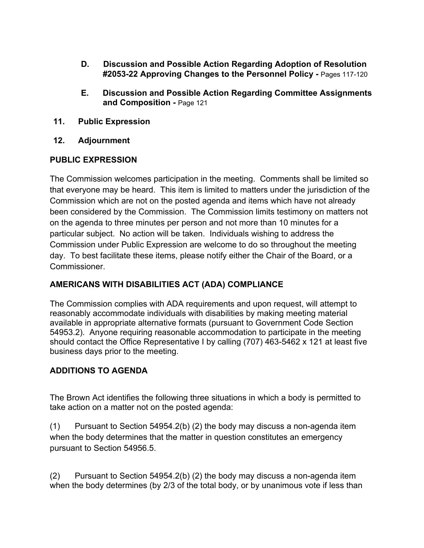- **D. Discussion and Possible Action Regarding Adoption of Resolution #2053-22 Approving Changes to the Personnel Policy -** Pages 117-120
- **E. Discussion and Possible Action Regarding Committee Assignments and Composition -** Page 121
- **11. Public Expression**
- **12. Adjournment**

#### **PUBLIC EXPRESSION**

The Commission welcomes participation in the meeting. Comments shall be limited so that everyone may be heard. This item is limited to matters under the jurisdiction of the Commission which are not on the posted agenda and items which have not already been considered by the Commission. The Commission limits testimony on matters not on the agenda to three minutes per person and not more than 10 minutes for a particular subject. No action will be taken. Individuals wishing to address the Commission under Public Expression are welcome to do so throughout the meeting day. To best facilitate these items, please notify either the Chair of the Board, or a Commissioner.

## **AMERICANS WITH DISABILITIES ACT (ADA) COMPLIANCE**

The Commission complies with ADA requirements and upon request, will attempt to reasonably accommodate individuals with disabilities by making meeting material available in appropriate alternative formats (pursuant to Government Code Section 54953.2). Anyone requiring reasonable accommodation to participate in the meeting should contact the Office Representative I by calling (707) 463-5462 x 121 at least five business days prior to the meeting.

## **ADDITIONS TO AGENDA**

The Brown Act identifies the following three situations in which a body is permitted to take action on a matter not on the posted agenda:

(1) Pursuant to Section 54954.2(b) (2) the body may discuss a non-agenda item when the body determines that the matter in question constitutes an emergency pursuant to Section 54956.5.

(2) Pursuant to Section 54954.2(b) (2) the body may discuss a non-agenda item when the body determines (by 2/3 of the total body, or by unanimous vote if less than